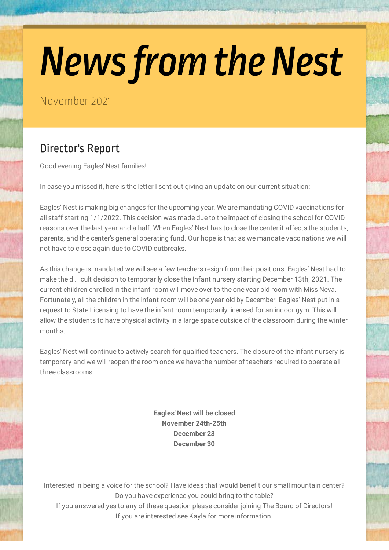# *News from the Nest*

November 2021

## Director's Report

Good evening Eagles' Nest families!

In case you missed it, here is the letter I sent out giving an update on our current situation:

Eagles' Nest is making big changes for the upcoming year. We are mandating COVID vaccinations for all staff starting 1/1/2022. This decision was made due to the impact of closing the school for COVID reasons over the last year and a half. When Eagles' Nest has to close the center it affects the students, parents, and the center's general operating fund. Our hope is that as we mandate vaccinations we will not have to close again due to COVID outbreaks.

As this change is mandated we will see a few teachers resign from their positions. Eagles' Nest had to make the di. cult decision to temporarily close the Infant nursery starting December 13th, 2021. The current children enrolled in the infant room will move over to the one year old room with Miss Neva. Fortunately, all the children in the infant room will be one year old by December. Eagles' Nest put in a request to State Licensing to have the infant room temporarily licensed for an indoor gym. This will allow the students to have physical activity in a large space outside of the classroom during the winter months.

Eagles' Nest will continue to actively search for qualified teachers. The closure of the infant nursery is temporary and we will reopen the room once we have the number of teachers required to operate all three classrooms.

> **Eagles' Nest will be closed November 24th-25th December 23 December 30**

Interested in being a voice for the school? Have ideas that would benefit our small mountain center? Do you have experience you could bring to the table? If you answered yes to any of these question please consider joining The Board of Directors! If you are interested see Kayla for more information.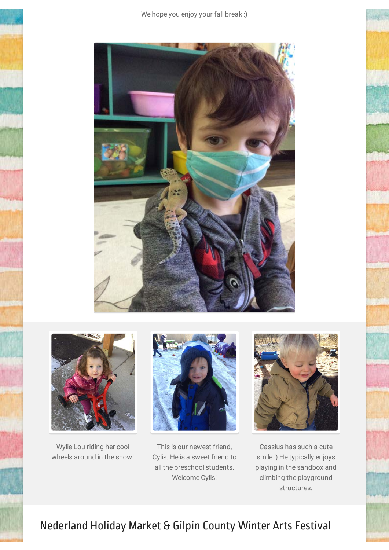



Wylie Lou riding her cool wheels around in the snow!



This is our newest friend, Cylis. He is a sweet friend to all the preschool students. Welcome Cylis!



Cassius has such a cute smile :) He typically enjoys playing in the sandbox and climbing the playground structures.

# Nederland Holiday Market & Gilpin County Winter Arts Festival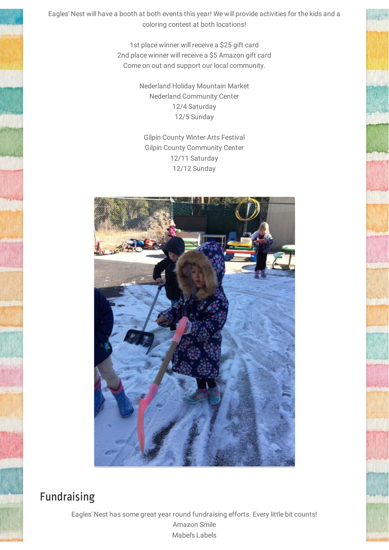Eagles' Nest will have a booth at both events this year! We will provide activities for the kids and a coloring contest at both locations!

> 1st place winner will receive a \$25 gift card 2nd place winner will receive a \$5 Amazon gift card Come on out and support our local community.

> > Nederland Holiday Mountain Market Nederland Community Center 12/4 Saturday 12/5 Sunday

Gilpin County Winter Arts Festival Gilpin County Community Center 12/11 Saturday 12/12 Sunday



## Fundraising

Eagles' Nest has some great year round fundraising efforts. Every little bit counts! Amazon Smile Mabel's Labels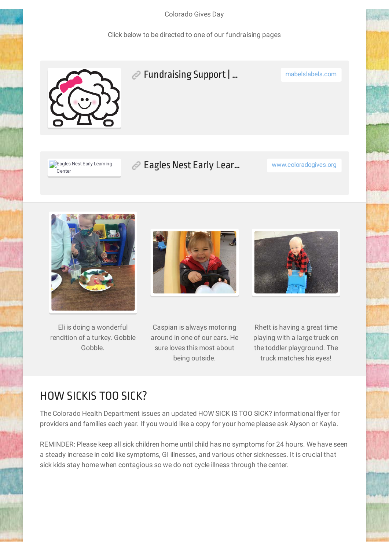Colorado Gives Day

Click below to be directed to one of our fundraising pages



#### [Fundraising Support | …](https://mabelslabels.com/en_US/fundraising/support/) mabelslabels.com

Eagles Nest Early Learning .<br>Center

[Eagles Nest Early Lear…](https://www.coloradogives.org/EaglesNestELC/overview?step=step1) www.coloradogives.org



Eli is doing a wonderful rendition of a turkey. Gobble Gobble.



Caspian is always motoring around in one of our cars. He sure loves this most about being outside.

Rhett is having a great time playing with a large truck on the toddler playground. The truck matches his eyes!

## HOW SICKIS TOO SICK?

The Colorado Health Department issues an updated HOW SICK IS TOO SICK? informational flyer for providers and families each year. If you would like a copy for your home please ask Alyson or Kayla.

REMINDER: Please keep all sick children home until child has no symptoms for 24 hours. We have seen a steady increase in cold like symptoms, GI illnesses, and various other sicknesses. It is crucial that sick kids stay home when contagious so we do not cycle illness through the center.